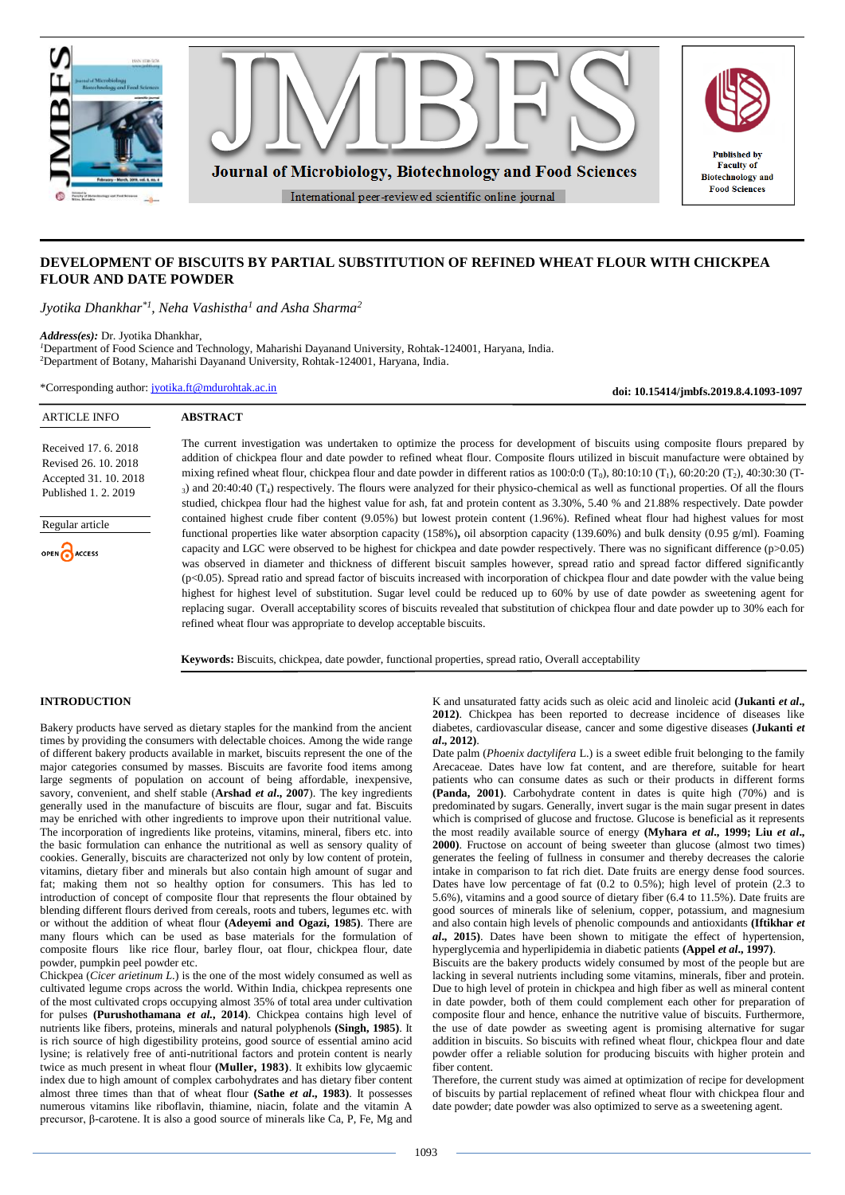

## **DEVELOPMENT OF BISCUITS BY PARTIAL SUBSTITUTION OF REFINED WHEAT FLOUR WITH CHICKPEA FLOUR AND DATE POWDER**

*Jyotika Dhankhar\*1, Neha Vashistha<sup>1</sup> and Asha Sharma<sup>2</sup>*

*Address(es):* Dr. Jyotika Dhankhar,

*<sup>1</sup>*Department of Food Science and Technology, Maharishi Dayanand University, Rohtak-124001, Haryana, India. <sup>2</sup>Department of Botany, Maharishi Dayanand University, Rohtak-124001, Haryana, India.

\*Corresponding author: [jyotika.ft@mdurohtak.ac.in](mailto:jyotika.ft@mdurohtak.ac.in)

**doi: 10.15414/jmbfs.2019.8.4.1093-1097**

#### ARTICLE INFO **ABSTRACT** The current investigation was undertaken to optimize the process for development of biscuits using composite flours prepared by Received 17. 6. 2018 addition of chickpea flour and date powder to refined wheat flour. Composite flours utilized in biscuit manufacture were obtained by Revised 26. 10. 2018 mixing refined wheat flour, chickpea flour and date powder in different ratios as  $100:0:0$  (T<sub>0</sub>),  $80:10:10$  (T<sub>1</sub>),  $60:20:20$  (T<sub>2</sub>),  $40:30:30$  (T-Accepted 31. 10. 2018 <sup>3</sup>) and 20:40:40 (T4) respectively. The flours were analyzed for their physico-chemical as well as functional properties. Of all the flours Published 1. 2. 2019 studied, chickpea flour had the highest value for ash, fat and protein content as 3.30%, 5.40 % and 21.88% respectively. Date powder contained highest crude fiber content (9.05%) but lowest protein content (1.96%). Refined wheat flour had highest values for most Regular article functional properties like water absorption capacity (158%)**,** oil absorption capacity (139.60%) and bulk density (0.95 g/ml). Foaming capacity and LGC were observed to be highest for chickpea and date powder respectively. There was no significant difference (p>0.05) **B**ACCESS was observed in diameter and thickness of different biscuit samples however, spread ratio and spread factor differed significantly (p<0.05). Spread ratio and spread factor of biscuits increased with incorporation of chickpea flour and date powder with the value being highest for highest level of substitution. Sugar level could be reduced up to 60% by use of date powder as sweetening agent for

replacing sugar. Overall acceptability scores of biscuits revealed that substitution of chickpea flour and date powder up to 30% each for

**Keywords:** Biscuits, chickpea, date powder, functional properties, spread ratio, Overall acceptability

refined wheat flour was appropriate to develop acceptable biscuits.

## **INTRODUCTION**

Bakery products have served as dietary staples for the mankind from the ancient times by providing the consumers with delectable choices. Among the wide range of different bakery products available in market, biscuits represent the one of the major categories consumed by masses. Biscuits are favorite food items among large segments of population on account of being affordable, inexpensive, savory, convenient, and shelf stable (**Arshad** *et al***., 2007**). The key ingredients generally used in the manufacture of biscuits are flour, sugar and fat. Biscuits may be enriched with other ingredients to improve upon their nutritional value. The incorporation of ingredients like proteins, vitamins, mineral, fibers etc. into the basic formulation can enhance the nutritional as well as sensory quality of cookies. Generally, biscuits are characterized not only by low content of protein, vitamins, dietary fiber and minerals but also contain high amount of sugar and fat; making them not so healthy option for consumers. This has led to introduction of concept of composite flour that represents the flour obtained by blending different flours derived from cereals, roots and tubers, legumes etc. with or without the addition of wheat flour **(Adeyemi and Ogazi, 1985)**. There are many flours which can be used as base materials for the formulation of composite flours like rice flour, barley flour, oat flour, chickpea flour, date powder, pumpkin peel powder etc.

Chickpea (*Cicer arietinum L*.) is the one of the most widely consumed as well as cultivated legume crops across the world. Within India, chickpea represents one of the most cultivated crops occupying almost 35% of total area under cultivation for pulses **(Purushothamana** *et al.***, 2014)**. Chickpea contains high level of nutrients like fibers, proteins, minerals and natural polyphenols **(Singh, 1985)**. It is rich source of high digestibility proteins, good source of essential amino acid lysine; is relatively free of anti-nutritional factors and protein content is nearly twice as much present in wheat flour **(Muller, 1983)**. It exhibits low glycaemic index due to high amount of complex carbohydrates and has dietary fiber content almost three times than that of wheat flour **(Sathe** *et al***., 1983)**. It possesses numerous vitamins like riboflavin, thiamine, niacin, folate and the vitamin A precursor, β-carotene. It is also a good source of minerals like Ca, P, Fe, Mg and

K and unsaturated fatty acids such as oleic acid and linoleic acid **(Jukanti** *et al***., 2012)**. Chickpea has been reported to decrease incidence of diseases like diabetes, cardiovascular disease, cancer and some digestive diseases **(Jukanti** *et al***., 2012)**.

Date palm (*Phoenix dactylifera* L.) is a sweet edible fruit belonging to the family Arecaceae. Dates have low fat content, and are therefore, suitable for heart patients who can consume dates as such or their products in different forms **(Panda, 2001)**. Carbohydrate content in dates is quite high (70%) and is predominated by sugars. Generally, invert sugar is the main sugar present in dates which is comprised of glucose and fructose. Glucose is beneficial as it represents the most readily available source of energy **(Myhara** *et al***., 1999; Liu** *et al***., 2000)**. Fructose on account of being sweeter than glucose (almost two times) generates the feeling of fullness in consumer and thereby decreases the calorie intake in comparison to fat rich diet. Date fruits are energy dense food sources. Dates have low percentage of fat (0.2 to 0.5%); high level of protein (2.3 to 5.6%), vitamins and a good source of dietary fiber (6.4 to 11.5%). Date fruits are good sources of minerals like of selenium, copper, potassium, and magnesium and also contain high levels of phenolic compounds and antioxidants **(Iftikhar** *et al***., 2015)**. Dates have been shown to mitigate the effect of hypertension, hyperglycemia and hyperlipidemia in diabetic patients **(Appel** *et al***., 1997)**.

Biscuits are the bakery products widely consumed by most of the people but are lacking in several nutrients including some vitamins, minerals, fiber and protein. Due to high level of protein in chickpea and high fiber as well as mineral content in date powder, both of them could complement each other for preparation of composite flour and hence, enhance the nutritive value of biscuits. Furthermore, the use of date powder as sweeting agent is promising alternative for sugar addition in biscuits. So biscuits with refined wheat flour, chickpea flour and date powder offer a reliable solution for producing biscuits with higher protein and fiber content.

Therefore, the current study was aimed at optimization of recipe for development of biscuits by partial replacement of refined wheat flour with chickpea flour and date powder; date powder was also optimized to serve as a sweetening agent.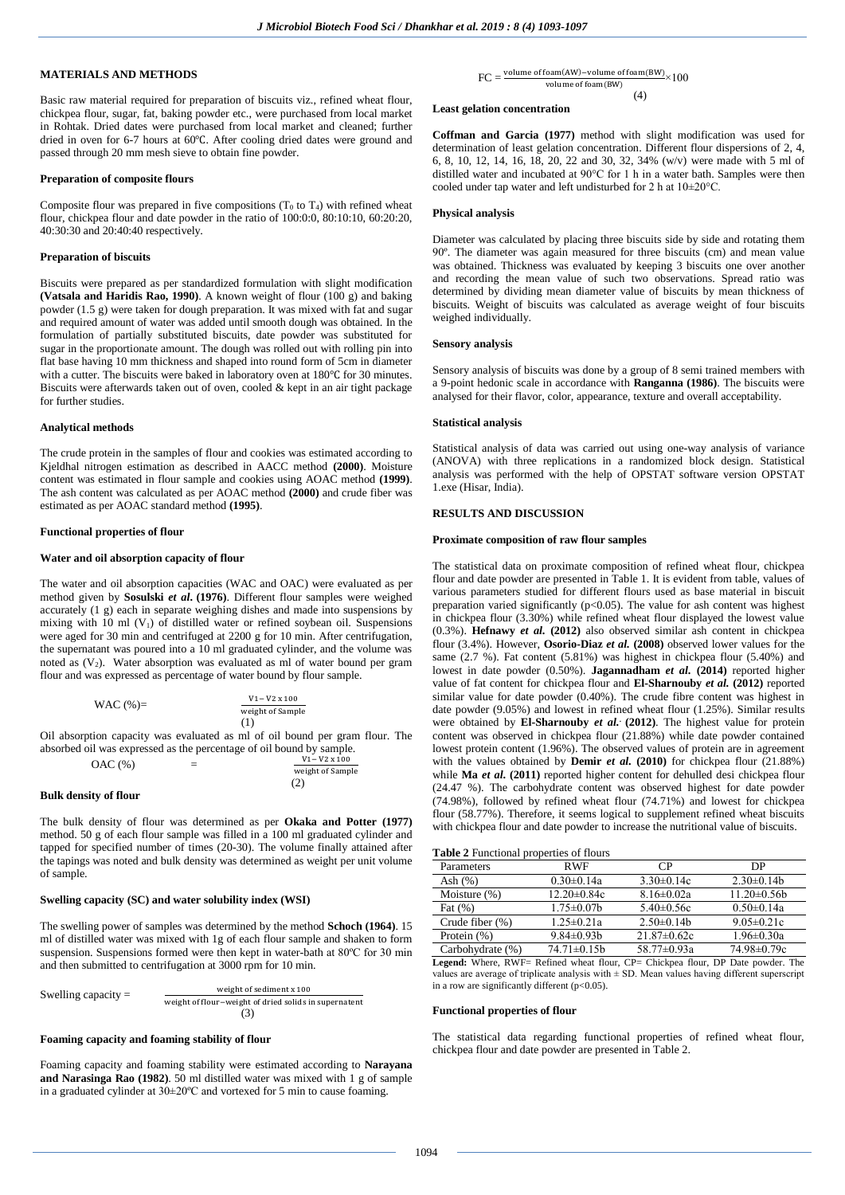## **MATERIALS AND METHODS**

Basic raw material required for preparation of biscuits viz., refined wheat flour, chickpea flour, sugar, fat, baking powder etc., were purchased from local market in Rohtak. Dried dates were purchased from local market and cleaned; further dried in oven for 6-7 hours at 60℃. After cooling dried dates were ground and passed through 20 mm mesh sieve to obtain fine powder.

## **Preparation of composite flours**

Composite flour was prepared in five compositions  $(T_0$  to  $T_4$ ) with refined wheat flour, chickpea flour and date powder in the ratio of 100:0:0, 80:10:10, 60:20:20, 40:30:30 and 20:40:40 respectively.

## **Preparation of biscuits**

Biscuits were prepared as per standardized formulation with slight modification **(Vatsala and Haridis Rao, 1990)**. A known weight of flour (100 g) and baking powder (1.5 g) were taken for dough preparation. It was mixed with fat and sugar and required amount of water was added until smooth dough was obtained. In the formulation of partially substituted biscuits, date powder was substituted for sugar in the proportionate amount. The dough was rolled out with rolling pin into flat base having 10 mm thickness and shaped into round form of 5cm in diameter with a cutter. The biscuits were baked in laboratory oven at 180℃ for 30 minutes. Biscuits were afterwards taken out of oven, cooled & kept in an air tight package for further studies.

## **Analytical methods**

The crude protein in the samples of flour and cookies was estimated according to Kjeldhal nitrogen estimation as described in AACC method **(2000)**. Moisture content was estimated in flour sample and cookies using AOAC method **(1999)**. The ash content was calculated as per AOAC method **(2000)** and crude fiber was estimated as per AOAC standard method **(1995)**.

## **Functional properties of flour**

## **Water and oil absorption capacity of flour**

The water and oil absorption capacities (WAC and OAC) were evaluated as per method given by **Sosulski** *et al***. (1976)**. Different flour samples were weighed accurately (1 g) each in separate weighing dishes and made into suspensions by mixing with  $10$  ml (V<sub>1</sub>) of distilled water or refined soybean oil. Suspensions were aged for 30 min and centrifuged at 2200 g for 10 min. After centrifugation, the supernatant was poured into a 10 ml graduated cylinder, and the volume was noted as  $(V_2)$ . Water absorption was evaluated as ml of water bound per gram flour and was expressed as percentage of water bound by flour sample.

WAC 
$$
(\%)
$$
 = 
$$
\frac{V1 - V2 \times 100}{weight \space of Sample}
$$
 $(1)$ 

Oil absorption capacity was evaluated as ml of oil bound per gram flour. The absorbed oil was expressed as the percentage of oil bound by sample.

OAC (%) = 
$$
\frac{V1 - V2 \times 100}{weight \text{ of Sample}}
$$

$$
(2)
$$

## **Bulk density of flour**

The bulk density of flour was determined as per **Okaka and Potter (1977)** method. 50 g of each flour sample was filled in a 100 ml graduated cylinder and tapped for specified number of times (20-30). The volume finally attained after the tapings was noted and bulk density was determined as weight per unit volume of sample.

## **Swelling capacity (SC) and water solubility index (WSI)**

The swelling power of samples was determined by the method **Schoch (1964)**. 15 ml of distilled water was mixed with 1g of each flour sample and shaken to form suspension. Suspensions formed were then kept in water-bath at 80ºC for 30 min and then submitted to centrifugation at 3000 rpm for 10 min.

Swelling capacity = weight of sediment x 100 weight of flour−weight of dried solids in supernatent  $(3)$ 

# **Foaming capacity and foaming stability of flour**

Foaming capacity and foaming stability were estimated according to **Narayana and Narasinga Rao (1982)**. 50 ml distilled water was mixed with 1 g of sample in a graduated cylinder at 30±20ºC and vortexed for 5 min to cause foaming.

## **Least gelation concentration**

**Coffman and Garcia (1977)** method with slight modification was used for determination of least gelation concentration. Different flour dispersions of 2, 4, 6, 8, 10, 12, 14, 16, 18, 20, 22 and 30, 32, 34% (w/v) were made with 5 ml of distilled water and incubated at 90°C for 1 h in a water bath. Samples were then cooled under tap water and left undisturbed for 2 h at 10±20°C.

## **Physical analysis**

Diameter was calculated by placing three biscuits side by side and rotating them 90º. The diameter was again measured for three biscuits (cm) and mean value was obtained. Thickness was evaluated by keeping 3 biscuits one over another and recording the mean value of such two observations. Spread ratio was determined by dividing mean diameter value of biscuits by mean thickness of biscuits. Weight of biscuits was calculated as average weight of four biscuits weighed individually.

## **Sensory analysis**

Sensory analysis of biscuits was done by a group of 8 semi trained members with a 9-point hedonic scale in accordance with **Ranganna (1986)**. The biscuits were analysed for their flavor, color, appearance, texture and overall acceptability.

#### **Statistical analysis**

Statistical analysis of data was carried out using one-way analysis of variance (ANOVA) with three replications in a randomized block design. Statistical analysis was performed with the help of OPSTAT software version OPSTAT 1.exe (Hisar, India).

### **RESULTS AND DISCUSSION**

#### **Proximate composition of raw flour samples**

The statistical data on proximate composition of refined wheat flour, chickpea flour and date powder are presented in Table 1. It is evident from table, values of various parameters studied for different flours used as base material in biscuit preparation varied significantly ( $p$ <0.05). The value for ash content was highest in chickpea flour (3.30%) while refined wheat flour displayed the lowest value (0.3%). **Hefnawy** *et al.* **(2012)** also observed similar ash content in chickpea flour (3.4%). However, **Osorio-Diaz** *et al.* **(2008)** observed lower values for the same (2.7 %). Fat content (5.81%) was highest in chickpea flour (5.40%) and lowest in date powder (0.50%). **Jagannadham** *et al.* **(2014)** reported higher value of fat content for chickpea flour and **El-Sharnouby** *et al.* **(2012)** reported similar value for date powder (0.40%). The crude fibre content was highest in date powder (9.05%) and lowest in refined wheat flour (1.25%). Similar results were obtained by **El-Sharnouby** *et al.* **. (2012)**. The highest value for protein content was observed in chickpea flour (21.88%) while date powder contained lowest protein content (1.96%). The observed values of protein are in agreement with the values obtained by **Demir** *et al.* **(2010)** for chickpea flour (21.88%) while **Ma** *et al***. (2011)** reported higher content for dehulled desi chickpea flour (24.47 %). The carbohydrate content was observed highest for date powder (74.98%), followed by refined wheat flour (74.71%) and lowest for chickpea flour (58.77%). Therefore, it seems logical to supplement refined wheat biscuits with chickpea flour and date powder to increase the nutritional value of biscuits.

| Parameters         | <b>RWF</b>        | СP                | DP               |
|--------------------|-------------------|-------------------|------------------|
| Ash $(%)$          | $0.30 \pm 0.14a$  | $3.30\pm0.14c$    | $2.30\pm0.14b$   |
| Moisture $(\%)$    | $12.20 \pm 0.84c$ | $8.16 \pm 0.02a$  | $11.20 \pm 0.56$ |
| Fat $(\%)$         | $1.75 \pm 0.07$ b | $5.40\pm0.56c$    | $0.50 \pm 0.14a$ |
| Crude fiber $(\%)$ | $1.25 \pm 0.21a$  | $2.50 \pm 0.14$   | $9.05 \pm 0.21c$ |
| Protein $(\%)$     | $9.84 \pm 0.93$ b | $21.87 \pm 0.62c$ | $1.96 \pm 0.30a$ |
| Carbohydrate (%)   | $74.71 \pm 0.15b$ | 58.77±0.93a       | 74.98±0.79c      |

**Legend:** Where, RWF= Refined wheat flour, CP= Chickpea flour, DP Date powder. The values are average of triplicate analysis with  $\pm$  SD. Mean values having different superscript in a row are significantly different ( $p<0.05$ ).

#### **Functional properties of flour**

The statistical data regarding functional properties of refined wheat flour, chickpea flour and date powder are presented in Table 2.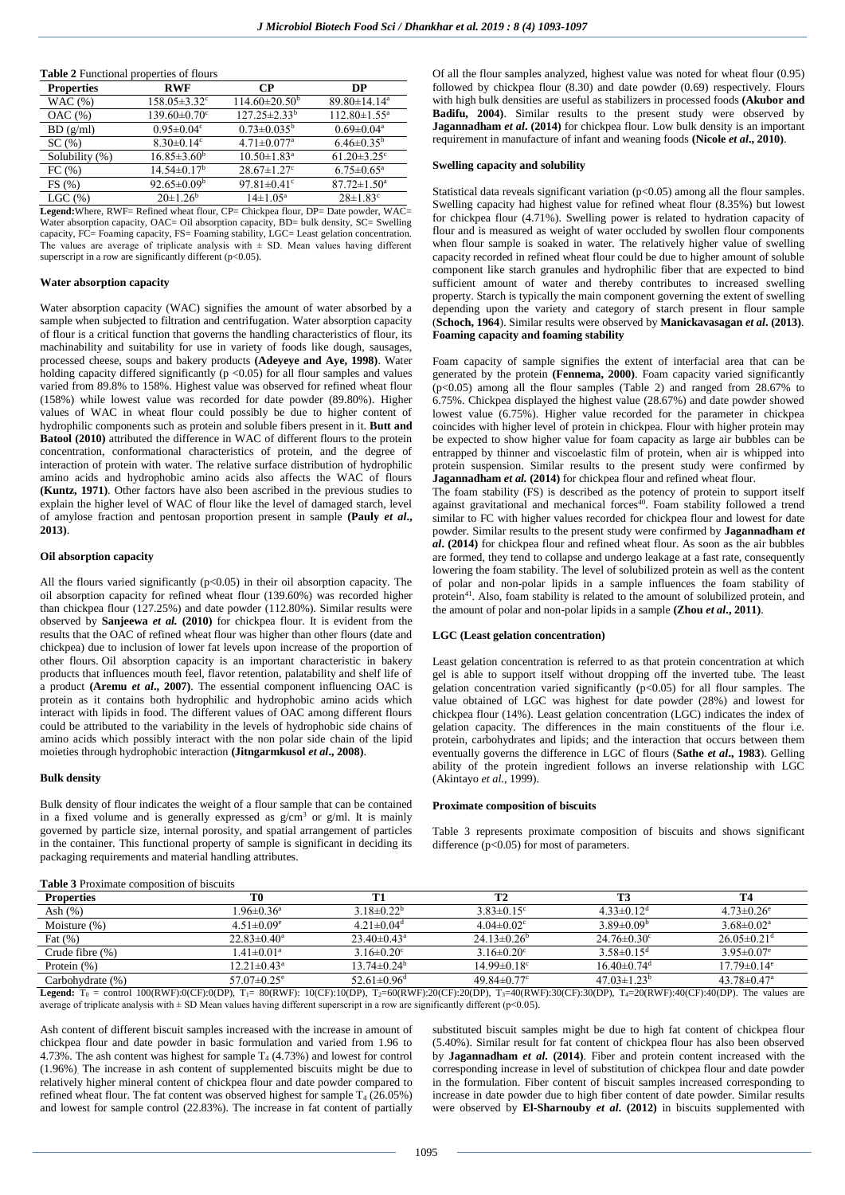| <b>Table 2</b> Functional properties of flours |                                |                               |                               |  |  |
|------------------------------------------------|--------------------------------|-------------------------------|-------------------------------|--|--|
| <b>Properties</b>                              | RWF                            | <b>CP</b>                     | DP                            |  |  |
| WAC(%)                                         | $158.05 \pm 3.32$ <sup>c</sup> | $114.60 \pm 20.50^{\circ}$    | 89.80±14.14 <sup>a</sup>      |  |  |
| OAC(%)                                         | $139.60 \pm 0.70$ <sup>c</sup> | $127.25 \pm 2.33^b$           | $112.80 \pm 1.55^{\text{a}}$  |  |  |
| BD(g/ml)                                       | $0.95 \pm 0.04$ °              | $0.73 \pm 0.035^b$            | $0.69 \pm 0.04$ <sup>a</sup>  |  |  |
| SC(%)                                          | $8.30 \pm 0.14$ °              | $4.71 \pm 0.077$ <sup>a</sup> | $6.46 \pm 0.35^{\rm b}$       |  |  |
| Solubility (%)                                 | $16.85 \pm 3.60^{\rm b}$       | $10.50 \pm 1.83$ <sup>a</sup> | $61.20 \pm 3.25$ <sup>c</sup> |  |  |
| FC(%)                                          | $14.54 \pm 0.17$ <sup>b</sup>  | $28.67 \pm 1.27$ °            | $6.75 \pm 0.65$ <sup>a</sup>  |  |  |
| FS(%)                                          | $92.65 \pm 0.09^{\rm b}$       | 97.81 $\pm$ 0.41 $\rm{c}$     | $87.72 \pm 1.50^{\mathrm{a}}$ |  |  |
| LGC(%)                                         | $20\pm1.26^b$                  | $14\pm1.05^{\rm a}$           | $28 \pm 1.83$ <sup>c</sup>    |  |  |

**Legend:**Where, RWF= Refined wheat flour, CP= Chickpea flour, DP= Date powder, WAC= Water absorption capacity, OAC= Oil absorption capacity, BD= bulk density, SC= Swelling capacity, FC= Foaming capacity, FS= Foaming stability, LGC= Least gelation concentration. The values are average of triplicate analysis with  $\pm$  SD. Mean values having different superscript in a row are significantly different ( $p<0.05$ ).

### **Water absorption capacity**

Water absorption capacity (WAC) signifies the amount of water absorbed by a sample when subjected to filtration and centrifugation. Water absorption capacity of flour is a critical function that governs the handling characteristics of flour, its machinability and suitability for use in variety of foods like dough, sausages, processed cheese, soups and bakery products **(Adeyeye and Aye, 1998)**. Water holding capacity differed significantly  $(p < 0.05)$  for all flour samples and values varied from 89.8% to 158%. Highest value was observed for refined wheat flour (158%) while lowest value was recorded for date powder (89.80%). Higher values of WAC in wheat flour could possibly be due to higher content of hydrophilic components such as protein and soluble fibers present in it. **Butt and Batool (2010)** attributed the difference in WAC of different flours to the protein concentration, conformational characteristics of protein, and the degree of interaction of protein with water. The relative surface distribution of hydrophilic amino acids and hydrophobic amino acids also affects the WAC of flours **(Kuntz, 1971)**. Other factors have also been ascribed in the previous studies to explain the higher level of WAC of flour like the level of damaged starch, level of amylose fraction and pentosan proportion present in sample **(Pauly** *et al***., 2013)**.

#### **Oil absorption capacity**

All the flours varied significantly  $(p<0.05)$  in their oil absorption capacity. The oil absorption capacity for refined wheat flour (139.60%) was recorded higher than chickpea flour (127.25%) and date powder (112.80%). Similar results were observed by **Sanjeewa** *et al.* **(2010)** for chickpea flour. It is evident from the results that the OAC of refined wheat flour was higher than other flours (date and chickpea) due to inclusion of lower fat levels upon increase of the proportion of other flours. Oil absorption capacity is an important characteristic in bakery products that influences mouth feel, flavor retention, palatability and shelf life of a product **(Aremu** *et al***., 2007)**. The essential component influencing OAC is protein as it contains both hydrophilic and hydrophobic amino acids which interact with lipids in food. The different values of OAC among different flours could be attributed to the variability in the levels of hydrophobic side chains of amino acids which possibly interact with the non polar side chain of the lipid moieties through hydrophobic interaction **(Jitngarmkusol** *et al***., 2008)**.

#### **Bulk density**

Bulk density of flour indicates the weight of a flour sample that can be contained in a fixed volume and is generally expressed as  $g/cm^3$  or g/ml. It is mainly governed by particle size, internal porosity, and spatial arrangement of particles in the container. This functional property of sample is significant in deciding its packaging requirements and material handling attributes.

| Table 3 Proximate composition of biscuits |  |
|-------------------------------------------|--|
|-------------------------------------------|--|

Of all the flour samples analyzed, highest value was noted for wheat flour (0.95) followed by chickpea flour (8.30) and date powder (0.69) respectively. Flours with high bulk densities are useful as stabilizers in processed foods **(Akubor and Badifu, 2004)**. Similar results to the present study were observed by **Jagannadham** *et al***. (2014)** for chickpea flour. Low bulk density is an important requirement in manufacture of infant and weaning foods **(Nicole** *et al***., 2010)**.

#### **Swelling capacity and solubility**

Statistical data reveals significant variation  $(p<0.05)$  among all the flour samples. Swelling capacity had highest value for refined wheat flour (8.35%) but lowest for chickpea flour (4.71%). Swelling power is related to hydration capacity of flour and is measured as weight of water occluded by swollen flour components when flour sample is soaked in water. The relatively higher value of swelling capacity recorded in refined wheat flour could be due to higher amount of soluble component like starch granules and hydrophilic fiber that are expected to bind sufficient amount of water and thereby contributes to increased swelling property. Starch is typically the main component governing the extent of swelling depending upon the variety and category of starch present in flour sample (**Schoch, 1964**). Similar results were observed by **Manickavasagan** *et al***. (2013)**. **Foaming capacity and foaming stability**

Foam capacity of sample signifies the extent of interfacial area that can be generated by the protein **(Fennema, 2000)**. Foam capacity varied significantly (p<0.05) among all the flour samples (Table 2) and ranged from 28.67% to 6.75%. Chickpea displayed the highest value (28.67%) and date powder showed lowest value (6.75%). Higher value recorded for the parameter in chickpea coincides with higher level of protein in chickpea. Flour with higher protein may be expected to show higher value for foam capacity as large air bubbles can be entrapped by thinner and viscoelastic film of protein, when air is whipped into protein suspension. Similar results to the present study were confirmed by **Jagannadham** *et al.* **(2014)** for chickpea flour and refined wheat flour.

The foam stability (FS) is described as the potency of protein to support itself against gravitational and mechanical forces $40$ . Foam stability followed a trend similar to FC with higher values recorded for chickpea flour and lowest for date powder. Similar results to the present study were confirmed by **Jagannadham** *et al***. (2014)** for chickpea flour and refined wheat flour. As soon as the air bubbles are formed, they tend to collapse and undergo leakage at a fast rate, consequently lowering the foam stability. The level of solubilized protein as well as the content of polar and non-polar lipids in a sample influences the foam stability of protein<sup>41</sup>. Also, foam stability is related to the amount of solubilized protein, and the amount of polar and non-polar lipids in a sample **(Zhou** *et al***., 2011)**.

## **LGC (Least gelation concentration)**

Least gelation concentration is referred to as that protein concentration at which gel is able to support itself without dropping off the inverted tube. The least gelation concentration varied significantly  $(p<0.05)$  for all flour samples. The value obtained of LGC was highest for date powder (28%) and lowest for chickpea flour (14%). Least gelation concentration (LGC) indicates the index of gelation capacity. The differences in the main constituents of the flour i.e. protein, carbohydrates and lipids; and the interaction that occurs between them eventually governs the difference in LGC of flours (**Sathe** *et al***., 1983**). Gelling ability of the protein ingredient follows an inverse relationship with LGC (Akintayo *et al.*, 1999).

#### **Proximate composition of biscuits**

Table 3 represents proximate composition of biscuits and shows significant difference  $(p<0.05)$  for most of parameters.

| <b>Table</b> 9 Froamling composition of biscuris |                               |                               |                               |                              |                               |
|--------------------------------------------------|-------------------------------|-------------------------------|-------------------------------|------------------------------|-------------------------------|
| <b>Properties</b>                                | T0                            |                               |                               |                              |                               |
| Ash $(\%)$                                       | $1.96 \pm 0.36^a$             | $3.18\pm0.22^{\rm b}$         | $3.83 \pm 0.15$ <sup>c</sup>  | $4.33 \pm 0.12$ <sup>d</sup> | $4.73 \pm 0.26$ <sup>e</sup>  |
| Moisture $(\%)$                                  | $4.51 \pm 0.09$ <sup>e</sup>  | $4.21 \pm 0.04$ <sup>d</sup>  | $4.04 \pm 0.02$ <sup>c</sup>  | $3.89 \pm 0.09^b$            | $3.68 \pm 0.02^a$             |
| Fat $(\%)$                                       | $22.83 \pm 0.40^a$            | $23.40 \pm 0.43$ <sup>a</sup> | $24.13\pm0.26^b$              | $24.76 \pm 0.30^{\circ}$     | $26.05 \pm 0.21$ <sup>d</sup> |
| Crude fibre (%)                                  | $1.41 \pm 0.01^a$             | $3.16 \pm 0.20^{\circ}$       | $3.16 \pm 0.20^{\circ}$       | $3.58\pm0.15^{\rm d}$        | $3.95 \pm 0.07$ <sup>e</sup>  |
| Protein $(\%)$                                   | $12.21 \pm 0.43$ <sup>a</sup> | $13.74 \pm 0.24^{\circ}$      | $14.99 \pm 0.18$ <sup>c</sup> | $16.40\pm0.74$ <sup>d</sup>  | $17.79 \pm 0.14$ <sup>e</sup> |
| Carbohvdrate (%)                                 | $57.07 \pm 0.25$ <sup>e</sup> | $52.61 \pm 0.96$ <sup>d</sup> | $49.84 \pm 0.77$ °            | $47.03 \pm 1.23^{\circ}$     | $43.78 \pm 0.47$ <sup>a</sup> |
|                                                  |                               |                               |                               |                              |                               |

**Legend:** T<sub>0</sub> = control 100(RWF):0(CF):0(DP), T<sub>1</sub>= 80(RWF): 10(CF):10(DP), T<sub>2</sub>=60(RWF):20(CF):20(DP), T<sub>3</sub>=40(RWF):30(CF):30(DP), T<sub>4</sub>=20(RWF):40(CF):40(DP). The values are average of triplicate analysis with  $\pm$  SD Mean values having different superscript in a row are significantly different (p<0.05).

Ash content of different biscuit samples increased with the increase in amount of chickpea flour and date powder in basic formulation and varied from 1.96 to 4.73%. The ash content was highest for sample  $T_4$  (4.73%) and lowest for control (1.96%). The increase in ash content of supplemented biscuits might be due to relatively higher mineral content of chickpea flour and date powder compared to refined wheat flour. The fat content was observed highest for sample  $T_4$  (26.05%) and lowest for sample control (22.83%). The increase in fat content of partially

substituted biscuit samples might be due to high fat content of chickpea flour (5.40%). Similar result for fat content of chickpea flour has also been observed by **Jagannadham** *et al***. (2014)**. Fiber and protein content increased with the corresponding increase in level of substitution of chickpea flour and date powder in the formulation. Fiber content of biscuit samples increased corresponding to increase in date powder due to high fiber content of date powder. Similar results were observed by **El-Sharnouby** *et al***. (2012)** in biscuits supplemented with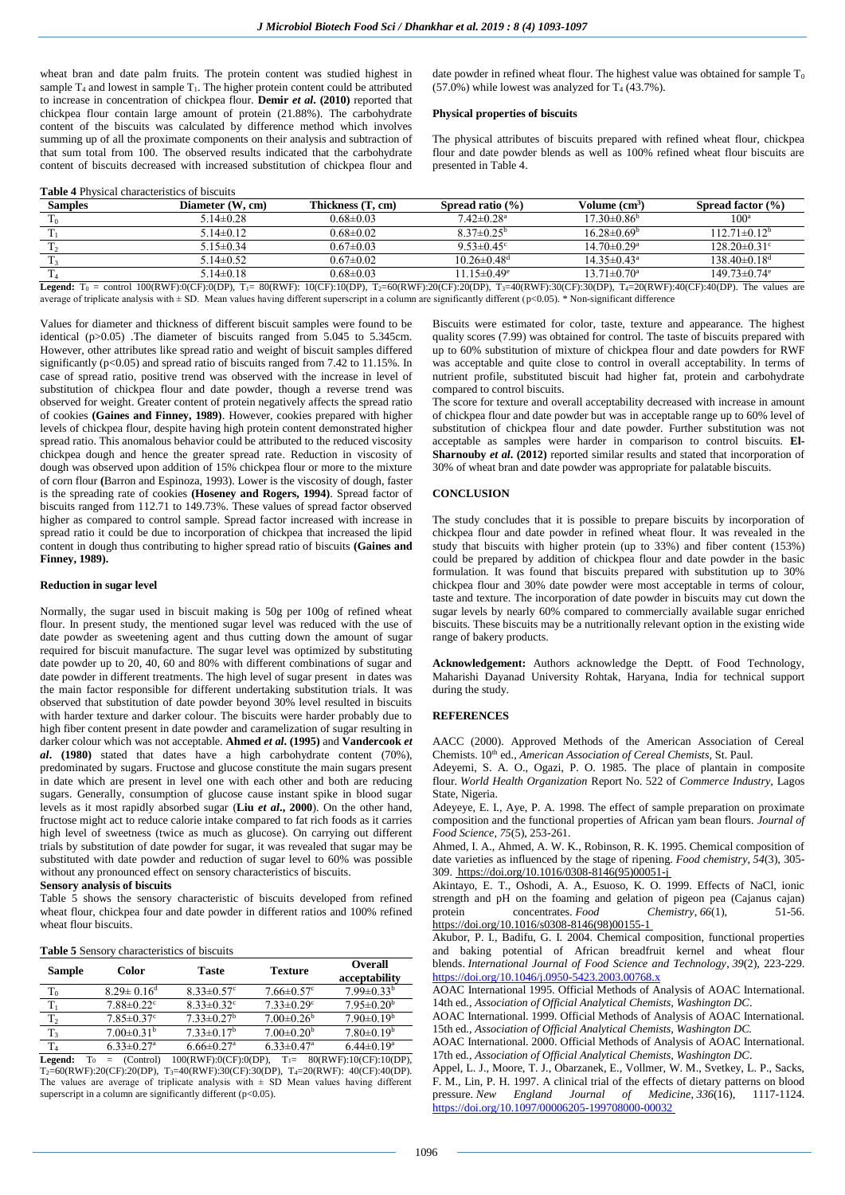wheat bran and date palm fruits. The protein content was studied highest in sample  $T_4$  and lowest in sample  $T_1$ . The higher protein content could be attributed to increase in concentration of chickpea flour. **Demir** *et al***. (2010)** reported that chickpea flour contain large amount of protein (21.88%). The carbohydrate content of the biscuits was calculated by difference method which involves summing up of all the proximate components on their analysis and subtraction of that sum total from 100. The observed results indicated that the carbohydrate content of biscuits decreased with increased substitution of chickpea flour and

**Table 4** Physical characteristics of biscuits

date powder in refined wheat flour. The highest value was obtained for sample  $T_0$  $(57.0\%)$  while lowest was analyzed for T<sub>4</sub> (43.7%).

## **Physical properties of biscuits**

The physical attributes of biscuits prepared with refined wheat flour, chickpea flour and date powder blends as well as 100% refined wheat flour biscuits are presented in Table 4.

| <b>Samples</b> | Diameter (W, cm)                                                                                                                                                                          | Thickness (T. cm) | Spread ratio $(%$             | Volume (cm <sup>3</sup> )     | <b>Spread factor</b> $(\%)$    |
|----------------|-------------------------------------------------------------------------------------------------------------------------------------------------------------------------------------------|-------------------|-------------------------------|-------------------------------|--------------------------------|
|                | $5.14\pm0.28$                                                                                                                                                                             | $0.68 \pm 0.03$   | $7.42 \pm 0.28$ <sup>a</sup>  | $17.30\pm0.86^{\rm b}$        | 100                            |
|                | $5.14\pm0.12$                                                                                                                                                                             | $0.68 \pm 0.02$   | $8.37\pm0.25^{\rm b}$         | $16.28 \pm 0.69^{\circ}$      | $112.71 \pm 0.12^b$            |
|                | $5.15 \pm 0.34$                                                                                                                                                                           | $0.67 \pm 0.03$   | $9.53 \pm 0.45$ <sup>c</sup>  | $14.70 \pm 0.29$ <sup>a</sup> | $128.20 \pm 0.31$ °            |
|                | $5.14\pm0.52$                                                                                                                                                                             | $0.67 \pm 0.02$   | $10.26 \pm 0.48$ <sup>d</sup> | $14.35 \pm 0.43^{\circ}$      | $138.40\pm0.18^{\rm d}$        |
|                | $5.14\pm0.18$                                                                                                                                                                             | $0.68 \pm 0.03$   | $11.15 \pm 0.49$ <sup>e</sup> | $13.71 \pm 0.70$ <sup>a</sup> | $149.73 \pm 0.74$ <sup>e</sup> |
|                | $\mathbf{I}$ , $\mathbf{I}$ ,, $\mathbf{I}$ 100/DWE\0/CE\0/DD\FF\00/DWE\0/CE\10/CE\10/DD\FF\00/DD\FF\00/CE\00/DD\FF\00/DD\FF\00/CE\00/DD\FF\00/DD\FF\00/DD\FF\00/DD\FF\00/DD\FF\00/DD\FF\ |                   |                               |                               |                                |

**Legend:**  $T_0$  = control 100(RWF):0(CF):0(DP),  $T_1 = 80$ (RWF): 10(CF):10(DP),  $T_2=60$ (RWF):20(CF):20(DP),  $T_3=40$ (RWF):30(CF):30(DP),  $T_4=20$ (RWF):40(CF):40(DP). The values are average of triplicate analysis with ± SD. Mean values having different superscript in a column are significantly different (p<0.05). \* Non-significant difference

Values for diameter and thickness of different biscuit samples were found to be identical (p>0.05) .The diameter of biscuits ranged from 5.045 to 5.345cm. However, other attributes like spread ratio and weight of biscuit samples differed significantly (p<0.05) and spread ratio of biscuits ranged from 7.42 to 11.15%. In case of spread ratio, positive trend was observed with the increase in level of substitution of chickpea flour and date powder, though a reverse trend was observed for weight. Greater content of protein negatively affects the spread ratio of cookies **(Gaines and Finney, 1989)**. However, cookies prepared with higher levels of chickpea flour, despite having high protein content demonstrated higher spread ratio. This anomalous behavior could be attributed to the reduced viscosity chickpea dough and hence the greater spread rate. Reduction in viscosity of dough was observed upon addition of 15% chickpea flour or more to the mixture of corn flour **(**Barron and Espinoza, 1993). Lower is the viscosity of dough, faster is the spreading rate of cookies **(Hoseney and Rogers, 1994)**. Spread factor of biscuits ranged from 112.71 to 149.73%. These values of spread factor observed higher as compared to control sample. Spread factor increased with increase in spread ratio it could be due to incorporation of chickpea that increased the lipid content in dough thus contributing to higher spread ratio of biscuits **(Gaines and Finney, 1989).**

## **Reduction in sugar level**

Normally, the sugar used in biscuit making is 50g per 100g of refined wheat flour. In present study, the mentioned sugar level was reduced with the use of date powder as sweetening agent and thus cutting down the amount of sugar required for biscuit manufacture. The sugar level was optimized by substituting date powder up to 20, 40, 60 and 80% with different combinations of sugar and date powder in different treatments. The high level of sugar present in dates was the main factor responsible for different undertaking substitution trials. It was observed that substitution of date powder beyond 30% level resulted in biscuits with harder texture and darker colour. The biscuits were harder probably due to high fiber content present in date powder and caramelization of sugar resulting in darker colour which was not acceptable. **Ahmed** *et al***. (1995)** and **Vandercook** *et al***. (1980)** stated that dates have a high carbohydrate content (70%), predominated by sugars. Fructose and glucose constitute the main sugars present in date which are present in level one with each other and both are reducing sugars. Generally, consumption of glucose cause instant spike in blood sugar levels as it most rapidly absorbed sugar (**Liu** *et al***., 2000**). On the other hand, fructose might act to reduce calorie intake compared to fat rich foods as it carries high level of sweetness (twice as much as glucose). On carrying out different trials by substitution of date powder for sugar, it was revealed that sugar may be substituted with date powder and reduction of sugar level to 60% was possible without any pronounced effect on sensory characteristics of biscuits.

#### **Sensory analysis of biscuits**

Table 5 shows the sensory characteristic of biscuits developed from refined wheat flour, chickpea four and date powder in different ratios and 100% refined wheat flour biscuits.

#### **Table 5** Sensory characteristics of biscuits

| Sample         | Color                        | <b>Taste</b>                 | <b>Texture</b>               | Overall<br>acceptability     |
|----------------|------------------------------|------------------------------|------------------------------|------------------------------|
| $T_0$          | $8.29 \pm 0.16$ <sup>d</sup> | $8.33 \pm 0.57$ °            | $7.66 \pm 0.57$ °            | $7.99 \pm 0.33^b$            |
| T.             | $7.88 \pm 0.22$ <sup>c</sup> | $8.33 \pm 0.32$ <sup>c</sup> | $7.33 \pm 0.29$ <sup>c</sup> | $7.95 \pm 0.20^{\rm b}$      |
| T <sub>2</sub> | $7.85 \pm 0.37$ °            | $7.33 \pm 0.27$ <sup>b</sup> | $7.00 \pm 0.26^b$            | $7.90 \pm 0.19^b$            |
| T <sub>3</sub> | $7.00 \pm 0.31^{\rm b}$      | $7.33 \pm 0.17^b$            | $7.00 \pm 0.20^b$            | $7.80\pm0.19^b$              |
| T <sub>4</sub> | $6.33 \pm 0.27$ <sup>a</sup> | $6.66 \pm 0.27$ <sup>a</sup> | $6.33 \pm 0.47$ <sup>a</sup> | $6.44 \pm 0.19$ <sup>a</sup> |

**Legend:**  $T_0$  = (Control) 100(RWF):0(CF):0(DP),  $T_1 = 80$ (RWF):10(CF):10(DP), T2=60(RWF):20(CF):20(DP), T3=40(RWF):30(CF):30(DP), T4=20(RWF): 40(CF):40(DP). The values are average of triplicate analysis with  $\pm$  SD Mean values having different superscript in a column are significantly different (p<0.05).

Biscuits were estimated for color, taste, texture and appearance. The highest quality scores (7.99) was obtained for control. The taste of biscuits prepared with up to 60% substitution of mixture of chickpea flour and date powders for RWF was acceptable and quite close to control in overall acceptability. In terms of nutrient profile, substituted biscuit had higher fat, protein and carbohydrate compared to control biscuits.

The score for texture and overall acceptability decreased with increase in amount of chickpea flour and date powder but was in acceptable range up to 60% level of substitution of chickpea flour and date powder. Further substitution was not acceptable as samples were harder in comparison to control biscuits. **El-Sharnouby** *et al.* (2012) reported similar results and stated that incorporation of 30% of wheat bran and date powder was appropriate for palatable biscuits.

## **CONCLUSION**

The study concludes that it is possible to prepare biscuits by incorporation of chickpea flour and date powder in refined wheat flour. It was revealed in the study that biscuits with higher protein (up to 33%) and fiber content (153%) could be prepared by addition of chickpea flour and date powder in the basic formulation. It was found that biscuits prepared with substitution up to 30% chickpea flour and 30% date powder were most acceptable in terms of colour, taste and texture. The incorporation of date powder in biscuits may cut down the sugar levels by nearly 60% compared to commercially available sugar enriched biscuits. These biscuits may be a nutritionally relevant option in the existing wide range of bakery products.

**Acknowledgement:** Authors acknowledge the Deptt. of Food Technology, Maharishi Dayanad University Rohtak, Haryana, India for technical support during the study.

## **REFERENCES**

AACC (2000). Approved Methods of the American Association of Cereal Chemists. 10<sup>th</sup> ed., *American Association of Cereal Chemists*, St. Paul.

Adeyemi, S. A. O., Ogazi, P. O. 1985. The place of plantain in composite flour. *World Health Organization* Report No. 522 of *Commerce Industry,* Lagos State, Nigeria.

Adeyeye, E. I., Aye, P. A. 1998. The effect of sample preparation on proximate composition and the functional properties of African yam bean flours. *Journal of Food Science, 75*(5), 253-261.

Ahmed, I. A., Ahmed, A. W. K., Robinson, R. K. 1995. Chemical composition of date varieties as influenced by the stage of ripening. *Food chemistry*, *54*(3), 305- 309[. https://doi.org/10.1016/0308-8146\(95\)00051-j](https://doi.org/10.1016/0308-8146(95)00051-j)

Akintayo, E. T., Oshodi, A. A., Esuoso, K. O. 1999. Effects of NaCl, ionic strength and pH on the foaming and gelation of pigeon pea (Cajanus cajan)<br>protein concentrates. Food Chemistry. 66(1). 51-56. protein concentrates. *Food* Chemistry, 66(1), 51-56. [https://doi.org/10.1016/s0308-8146\(98\)00155-1](https://doi.org/10.1016/s0308-8146(98)00155-1)

Akubor, P. I., Badifu, G. I. 2004. Chemical composition, functional properties and baking potential of African breadfruit kernel and wheat flour blends. *International Journal of Food Science and Technology*, *39*(2), 223-229. <https://doi.org/10.1046/j.0950-5423.2003.00768.x>

AOAC International 1995. Official Methods of Analysis of AOAC International. 14th ed*., Association of Official Analytical Chemists, Washington DC*.

AOAC International. 1999. Official Methods of Analysis of AOAC International. 15th ed*., Association of Official Analytical Chemists, Washington DC.* 

AOAC International. 2000. Official Methods of Analysis of AOAC International. 17th ed*., Association of Official Analytical Chemists, Washington DC*.

Appel, L. J., Moore, T. J., Obarzanek, E., Vollmer, W. M., Svetkey, L. P., Sacks, F. M., Lin, P. H. 1997. A clinical trial of the effects of dietary patterns on blood pressure. *New England Journal of Medicine*, *336*(16), 1117-1124. <https://doi.org/10.1097/00006205-199708000-00032>